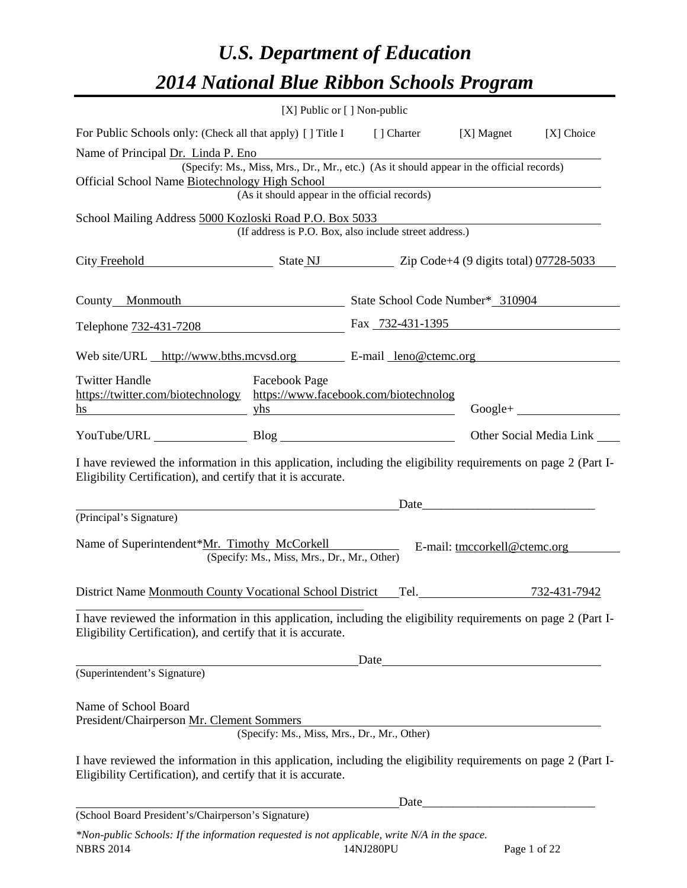# *U.S. Department of Education 2014 National Blue Ribbon Schools Program*

|                                                                                                                                                                                | [X] Public or [] Non-public                                                                                                                                       |  |                               |
|--------------------------------------------------------------------------------------------------------------------------------------------------------------------------------|-------------------------------------------------------------------------------------------------------------------------------------------------------------------|--|-------------------------------|
| For Public Schools only: (Check all that apply) [] Title I [] Charter [X] Magnet [X] Choice                                                                                    |                                                                                                                                                                   |  |                               |
| Name of Principal Dr. Linda P. Eno<br>Official School Name Biotechnology High School                                                                                           | (Specify: Ms., Miss, Mrs., Dr., Mr., etc.) (As it should appear in the official records)<br>or blogy High School<br>(As it should appear in the official records) |  |                               |
| School Mailing Address 5000 Kozloski Road P.O. Box 5033                                                                                                                        | (If address is P.O. Box, also include street address.)                                                                                                            |  |                               |
| City Freehold State NJ Zip Code+4 (9 digits total) 07728-5033                                                                                                                  |                                                                                                                                                                   |  |                               |
| County_Monmouth State School Code Number* 310904                                                                                                                               |                                                                                                                                                                   |  |                               |
| Telephone 732-431-7208 Fax 732-431-1395                                                                                                                                        |                                                                                                                                                                   |  |                               |
| Web site/URL http://www.bths.mcvsd.org E-mail leno@ctemc.org                                                                                                                   |                                                                                                                                                                   |  |                               |
| <b>Twitter Handle</b><br>https://twitter.com/biotechnology https://www.facebook.com/biotechnolog<br>$\frac{1}{2}$ yhs<br>hs                                                    | Facebook Page                                                                                                                                                     |  | $Google + \_$                 |
|                                                                                                                                                                                |                                                                                                                                                                   |  | Other Social Media Link _____ |
| I have reviewed the information in this application, including the eligibility requirements on page 2 (Part I-<br>Eligibility Certification), and certify that it is accurate. |                                                                                                                                                                   |  |                               |
| (Principal's Signature)                                                                                                                                                        | <u>Date</u>                                                                                                                                                       |  |                               |
| Name of Superintendent*Mr. Timothy McCorkell E-mail: tmccorkell@ctemc.org                                                                                                      | (Specify: Ms., Miss, Mrs., Dr., Mr., Other)                                                                                                                       |  |                               |
|                                                                                                                                                                                |                                                                                                                                                                   |  | 732-431-7942                  |
| I have reviewed the information in this application, including the eligibility requirements on page 2 (Part I-<br>Eligibility Certification), and certify that it is accurate. |                                                                                                                                                                   |  |                               |
|                                                                                                                                                                                |                                                                                                                                                                   |  |                               |
| (Superintendent's Signature)                                                                                                                                                   |                                                                                                                                                                   |  |                               |
| Name of School Board<br>President/Chairperson Mr. Clement Sommers                                                                                                              | (Specify: Ms., Miss, Mrs., Dr., Mr., Other)                                                                                                                       |  |                               |
| I have reviewed the information in this application, including the eligibility requirements on page 2 (Part I-<br>Eligibility Certification), and certify that it is accurate. |                                                                                                                                                                   |  |                               |
|                                                                                                                                                                                |                                                                                                                                                                   |  |                               |
| (School Board President's/Chairperson's Signature)                                                                                                                             |                                                                                                                                                                   |  |                               |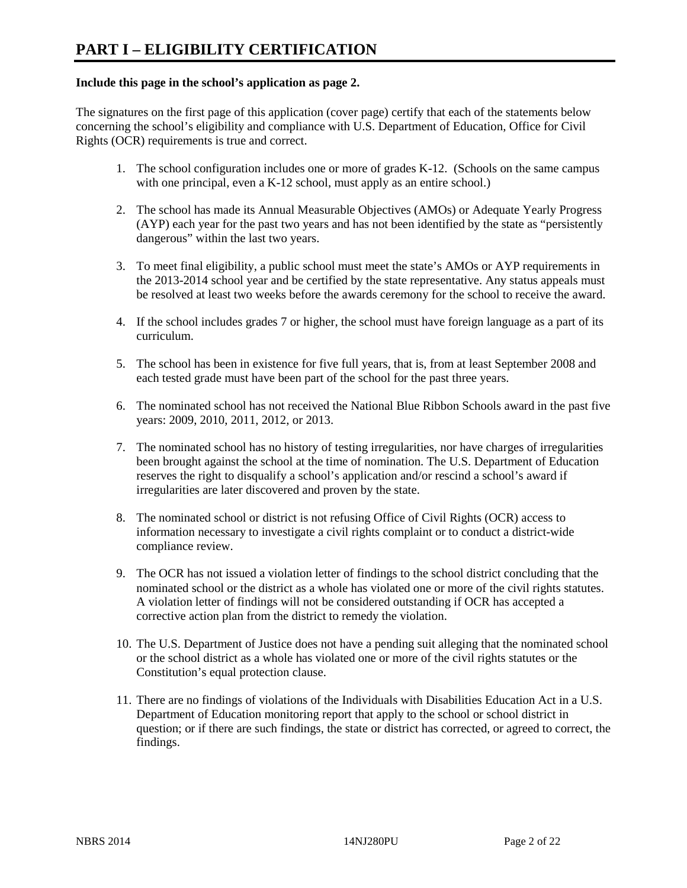#### **Include this page in the school's application as page 2.**

The signatures on the first page of this application (cover page) certify that each of the statements below concerning the school's eligibility and compliance with U.S. Department of Education, Office for Civil Rights (OCR) requirements is true and correct.

- 1. The school configuration includes one or more of grades K-12. (Schools on the same campus with one principal, even a K-12 school, must apply as an entire school.)
- 2. The school has made its Annual Measurable Objectives (AMOs) or Adequate Yearly Progress (AYP) each year for the past two years and has not been identified by the state as "persistently dangerous" within the last two years.
- 3. To meet final eligibility, a public school must meet the state's AMOs or AYP requirements in the 2013-2014 school year and be certified by the state representative. Any status appeals must be resolved at least two weeks before the awards ceremony for the school to receive the award.
- 4. If the school includes grades 7 or higher, the school must have foreign language as a part of its curriculum.
- 5. The school has been in existence for five full years, that is, from at least September 2008 and each tested grade must have been part of the school for the past three years.
- 6. The nominated school has not received the National Blue Ribbon Schools award in the past five years: 2009, 2010, 2011, 2012, or 2013.
- 7. The nominated school has no history of testing irregularities, nor have charges of irregularities been brought against the school at the time of nomination. The U.S. Department of Education reserves the right to disqualify a school's application and/or rescind a school's award if irregularities are later discovered and proven by the state.
- 8. The nominated school or district is not refusing Office of Civil Rights (OCR) access to information necessary to investigate a civil rights complaint or to conduct a district-wide compliance review.
- 9. The OCR has not issued a violation letter of findings to the school district concluding that the nominated school or the district as a whole has violated one or more of the civil rights statutes. A violation letter of findings will not be considered outstanding if OCR has accepted a corrective action plan from the district to remedy the violation.
- 10. The U.S. Department of Justice does not have a pending suit alleging that the nominated school or the school district as a whole has violated one or more of the civil rights statutes or the Constitution's equal protection clause.
- 11. There are no findings of violations of the Individuals with Disabilities Education Act in a U.S. Department of Education monitoring report that apply to the school or school district in question; or if there are such findings, the state or district has corrected, or agreed to correct, the findings.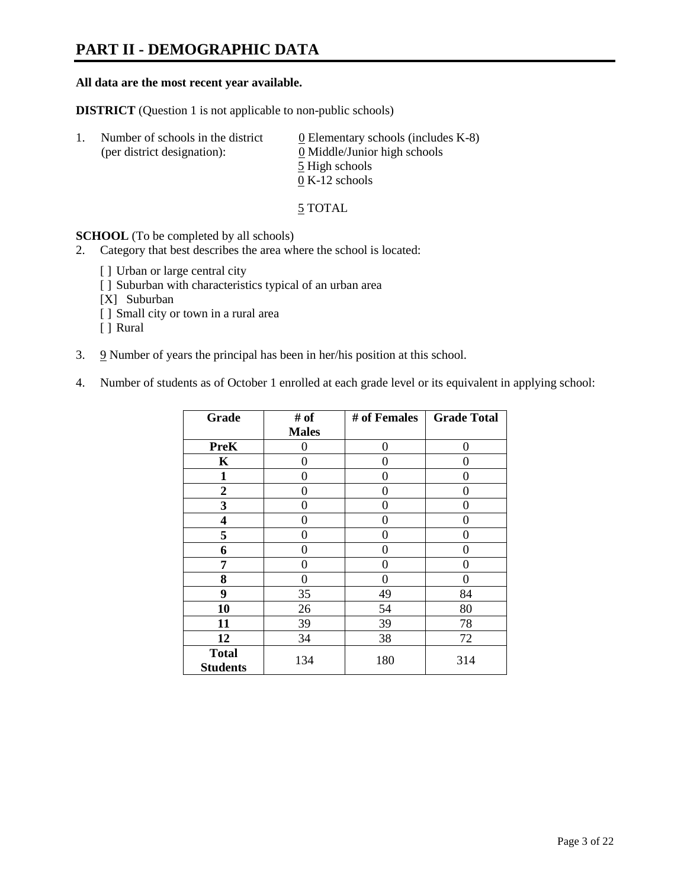## **PART II - DEMOGRAPHIC DATA**

#### **All data are the most recent year available.**

**DISTRICT** (Question 1 is not applicable to non-public schools)

| -1. | Number of schools in the district<br>(per district designation): | $\underline{0}$ Elementary schools (includes K-8)<br>0 Middle/Junior high schools |
|-----|------------------------------------------------------------------|-----------------------------------------------------------------------------------|
|     |                                                                  | 5 High schools                                                                    |
|     |                                                                  | $0 K-12$ schools                                                                  |

5 TOTAL

**SCHOOL** (To be completed by all schools)

- 2. Category that best describes the area where the school is located:
	- [] Urban or large central city
	- [ ] Suburban with characteristics typical of an urban area
	- [X] Suburban
	- [ ] Small city or town in a rural area
	- [ ] Rural
- 3. 9 Number of years the principal has been in her/his position at this school.
- 4. Number of students as of October 1 enrolled at each grade level or its equivalent in applying school:

| Grade                           | # of         | # of Females | <b>Grade Total</b> |
|---------------------------------|--------------|--------------|--------------------|
|                                 | <b>Males</b> |              |                    |
| <b>PreK</b>                     | 0            | 0            | $\Omega$           |
| K                               | 0            | 0            | 0                  |
| $\mathbf{1}$                    | 0            | 0            | 0                  |
| $\boldsymbol{2}$                | 0            | 0            | 0                  |
| 3                               | 0            | 0            | 0                  |
| 4                               | 0            | 0            | 0                  |
| 5                               | 0            | 0            | 0                  |
| 6                               | 0            | 0            | 0                  |
| 7                               | 0            | 0            | 0                  |
| 8                               | 0            | 0            | 0                  |
| 9                               | 35           | 49           | 84                 |
| 10                              | 26           | 54           | 80                 |
| 11                              | 39           | 39           | 78                 |
| 12                              | 34           | 38           | 72                 |
| <b>Total</b><br><b>Students</b> | 134          | 180          | 314                |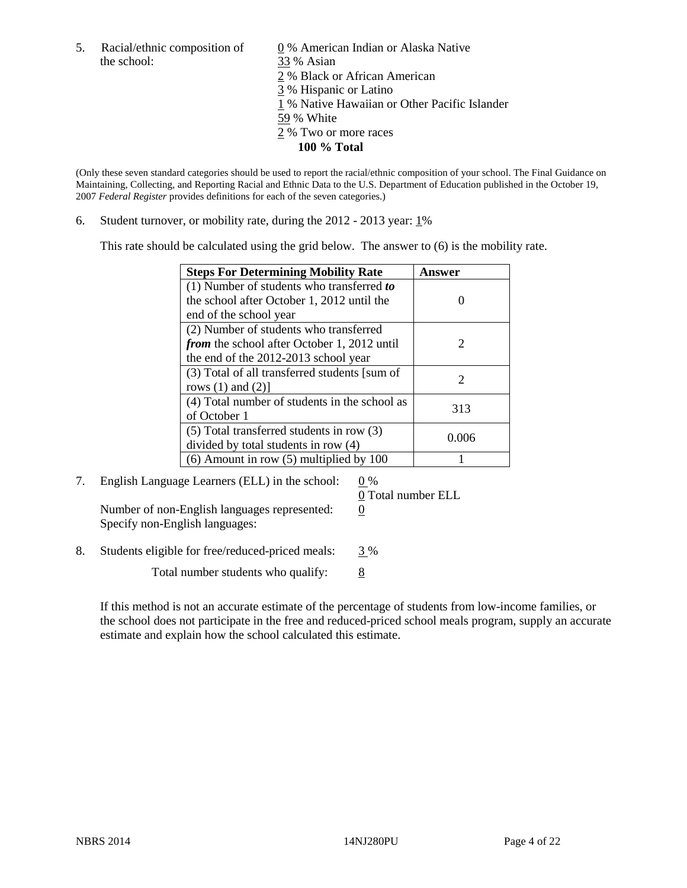the school: 33 % Asian

5. Racial/ethnic composition of  $\qquad \qquad \underline{0}$  % American Indian or Alaska Native 2 % Black or African American 3 % Hispanic or Latino 1 % Native Hawaiian or Other Pacific Islander 59 % White 2 % Two or more races **100 % Total** 

(Only these seven standard categories should be used to report the racial/ethnic composition of your school. The Final Guidance on Maintaining, Collecting, and Reporting Racial and Ethnic Data to the U.S. Department of Education published in the October 19, 2007 *Federal Register* provides definitions for each of the seven categories.)

6. Student turnover, or mobility rate, during the  $2012 - 2013$  year:  $1\%$ 

This rate should be calculated using the grid below. The answer to (6) is the mobility rate.

| <b>Steps For Determining Mobility Rate</b>         | <b>Answer</b>               |
|----------------------------------------------------|-----------------------------|
| (1) Number of students who transferred to          |                             |
| the school after October 1, 2012 until the         |                             |
| end of the school year                             |                             |
| (2) Number of students who transferred             |                             |
| <i>from</i> the school after October 1, 2012 until | $\mathcal{D}_{\mathcal{L}}$ |
| the end of the 2012-2013 school year               |                             |
| (3) Total of all transferred students [sum of      | $\mathcal{D}_{\mathcal{L}}$ |
| rows $(1)$ and $(2)$ ]                             |                             |
| (4) Total number of students in the school as      | 313                         |
| of October 1                                       |                             |
| $(5)$ Total transferred students in row $(3)$      |                             |
| divided by total students in row (4)               | 0.006                       |
| $(6)$ Amount in row $(5)$ multiplied by 100        |                             |

7. English Language Learners (ELL) in the school:  $0\%$ 

Number of non-English languages represented:  $0$ Specify non-English languages:

0 Total number ELL

8. Students eligible for free/reduced-priced meals: 3 %

Total number students who qualify:  $\frac{8}{8}$ 

If this method is not an accurate estimate of the percentage of students from low-income families, or the school does not participate in the free and reduced-priced school meals program, supply an accurate estimate and explain how the school calculated this estimate.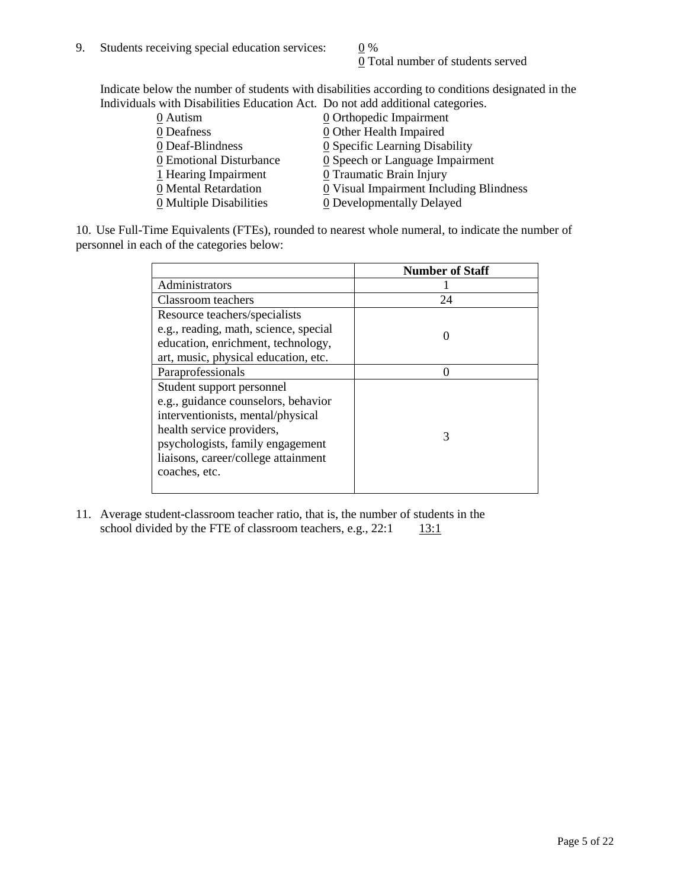0 Total number of students served

Indicate below the number of students with disabilities according to conditions designated in the Individuals with Disabilities Education Act. Do not add additional categories.

| 0 Autism                | $\underline{0}$ Orthopedic Impairment   |
|-------------------------|-----------------------------------------|
| 0 Deafness              | 0 Other Health Impaired                 |
| 0 Deaf-Blindness        | 0 Specific Learning Disability          |
| 0 Emotional Disturbance | 0 Speech or Language Impairment         |
| 1 Hearing Impairment    | 0 Traumatic Brain Injury                |
| 0 Mental Retardation    | 0 Visual Impairment Including Blindness |
| 0 Multiple Disabilities | 0 Developmentally Delayed               |
|                         |                                         |

10. Use Full-Time Equivalents (FTEs), rounded to nearest whole numeral, to indicate the number of personnel in each of the categories below:

|                                       | <b>Number of Staff</b> |
|---------------------------------------|------------------------|
| Administrators                        |                        |
| Classroom teachers                    | 24                     |
| Resource teachers/specialists         |                        |
| e.g., reading, math, science, special |                        |
| education, enrichment, technology,    |                        |
| art, music, physical education, etc.  |                        |
| Paraprofessionals                     |                        |
| Student support personnel             |                        |
| e.g., guidance counselors, behavior   |                        |
| interventionists, mental/physical     |                        |
| health service providers,             |                        |
| psychologists, family engagement      |                        |
| liaisons, career/college attainment   |                        |
| coaches, etc.                         |                        |
|                                       |                        |

11. Average student-classroom teacher ratio, that is, the number of students in the school divided by the FTE of classroom teachers, e.g.,  $22:1$  13:1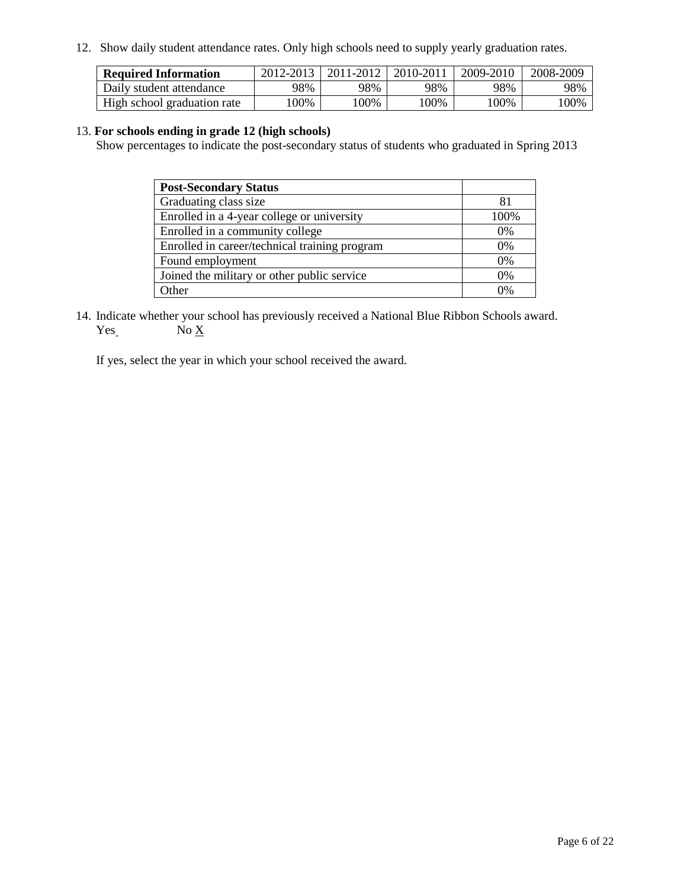12. Show daily student attendance rates. Only high schools need to supply yearly graduation rates.

| <b>Required Information</b> | 2012-2013 | 2011-2012 | 2010-2011 | 2009-2010 | 2008-2009 |
|-----------------------------|-----------|-----------|-----------|-----------|-----------|
| Daily student attendance    | 98%       | 98%       | 98%       | 98%       | 98%       |
| High school graduation rate | 00%       | $00\%$    | $00\%$    | .00%      | 100%      |

#### 13. **For schools ending in grade 12 (high schools)**

Show percentages to indicate the post-secondary status of students who graduated in Spring 2013

| <b>Post-Secondary Status</b>                  |      |
|-----------------------------------------------|------|
| Graduating class size                         |      |
| Enrolled in a 4-year college or university    | 100% |
| Enrolled in a community college               | 0%   |
| Enrolled in career/technical training program | 0%   |
| Found employment                              | 0%   |
| Joined the military or other public service   | 0%   |
| )ther                                         | 0%   |

14. Indicate whether your school has previously received a National Blue Ribbon Schools award.  $Yes$  No  $X$ 

If yes, select the year in which your school received the award.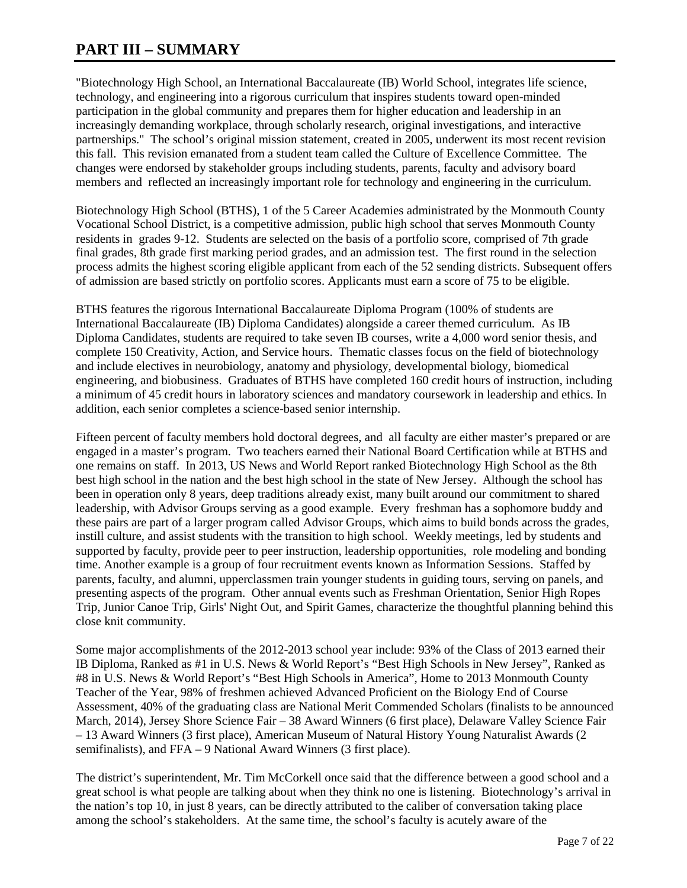## **PART III – SUMMARY**

"Biotechnology High School, an International Baccalaureate (IB) World School, integrates life science, technology, and engineering into a rigorous curriculum that inspires students toward open-minded participation in the global community and prepares them for higher education and leadership in an increasingly demanding workplace, through scholarly research, original investigations, and interactive partnerships." The school's original mission statement, created in 2005, underwent its most recent revision this fall. This revision emanated from a student team called the Culture of Excellence Committee. The changes were endorsed by stakeholder groups including students, parents, faculty and advisory board members and reflected an increasingly important role for technology and engineering in the curriculum.

Biotechnology High School (BTHS), 1 of the 5 Career Academies administrated by the Monmouth County Vocational School District, is a competitive admission, public high school that serves Monmouth County residents in grades 9-12. Students are selected on the basis of a portfolio score, comprised of 7th grade final grades, 8th grade first marking period grades, and an admission test. The first round in the selection process admits the highest scoring eligible applicant from each of the 52 sending districts. Subsequent offers of admission are based strictly on portfolio scores. Applicants must earn a score of 75 to be eligible.

BTHS features the rigorous International Baccalaureate Diploma Program (100% of students are International Baccalaureate (IB) Diploma Candidates) alongside a career themed curriculum. As IB Diploma Candidates, students are required to take seven IB courses, write a 4,000 word senior thesis, and complete 150 Creativity, Action, and Service hours. Thematic classes focus on the field of biotechnology and include electives in neurobiology, anatomy and physiology, developmental biology, biomedical engineering, and biobusiness. Graduates of BTHS have completed 160 credit hours of instruction, including a minimum of 45 credit hours in laboratory sciences and mandatory coursework in leadership and ethics. In addition, each senior completes a science-based senior internship.

Fifteen percent of faculty members hold doctoral degrees, and all faculty are either master's prepared or are engaged in a master's program. Two teachers earned their National Board Certification while at BTHS and one remains on staff. In 2013, US News and World Report ranked Biotechnology High School as the 8th best high school in the nation and the best high school in the state of New Jersey. Although the school has been in operation only 8 years, deep traditions already exist, many built around our commitment to shared leadership, with Advisor Groups serving as a good example. Every freshman has a sophomore buddy and these pairs are part of a larger program called Advisor Groups, which aims to build bonds across the grades, instill culture, and assist students with the transition to high school. Weekly meetings, led by students and supported by faculty, provide peer to peer instruction, leadership opportunities, role modeling and bonding time. Another example is a group of four recruitment events known as Information Sessions. Staffed by parents, faculty, and alumni, upperclassmen train younger students in guiding tours, serving on panels, and presenting aspects of the program. Other annual events such as Freshman Orientation, Senior High Ropes Trip, Junior Canoe Trip, Girls' Night Out, and Spirit Games, characterize the thoughtful planning behind this close knit community.

Some major accomplishments of the 2012-2013 school year include: 93% of the Class of 2013 earned their IB Diploma, Ranked as #1 in U.S. News & World Report's "Best High Schools in New Jersey", Ranked as #8 in U.S. News & World Report's "Best High Schools in America", Home to 2013 Monmouth County Teacher of the Year, 98% of freshmen achieved Advanced Proficient on the Biology End of Course Assessment, 40% of the graduating class are National Merit Commended Scholars (finalists to be announced March, 2014), Jersey Shore Science Fair – 38 Award Winners (6 first place), Delaware Valley Science Fair – 13 Award Winners (3 first place), American Museum of Natural History Young Naturalist Awards (2 semifinalists), and FFA – 9 National Award Winners (3 first place).

The district's superintendent, Mr. Tim McCorkell once said that the difference between a good school and a great school is what people are talking about when they think no one is listening. Biotechnology's arrival in the nation's top 10, in just 8 years, can be directly attributed to the caliber of conversation taking place among the school's stakeholders. At the same time, the school's faculty is acutely aware of the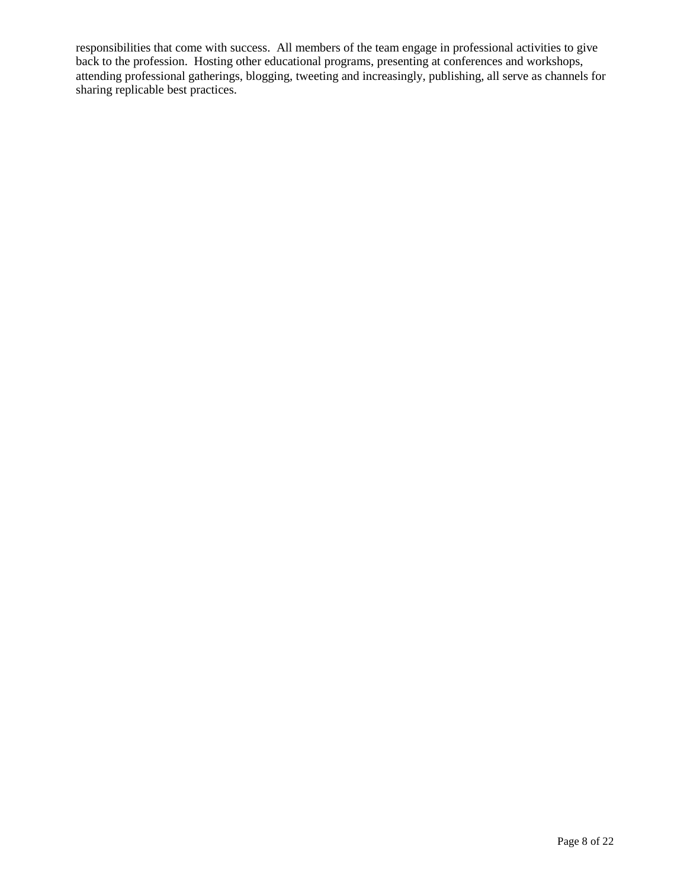responsibilities that come with success. All members of the team engage in professional activities to give back to the profession. Hosting other educational programs, presenting at conferences and workshops, attending professional gatherings, blogging, tweeting and increasingly, publishing, all serve as channels for sharing replicable best practices.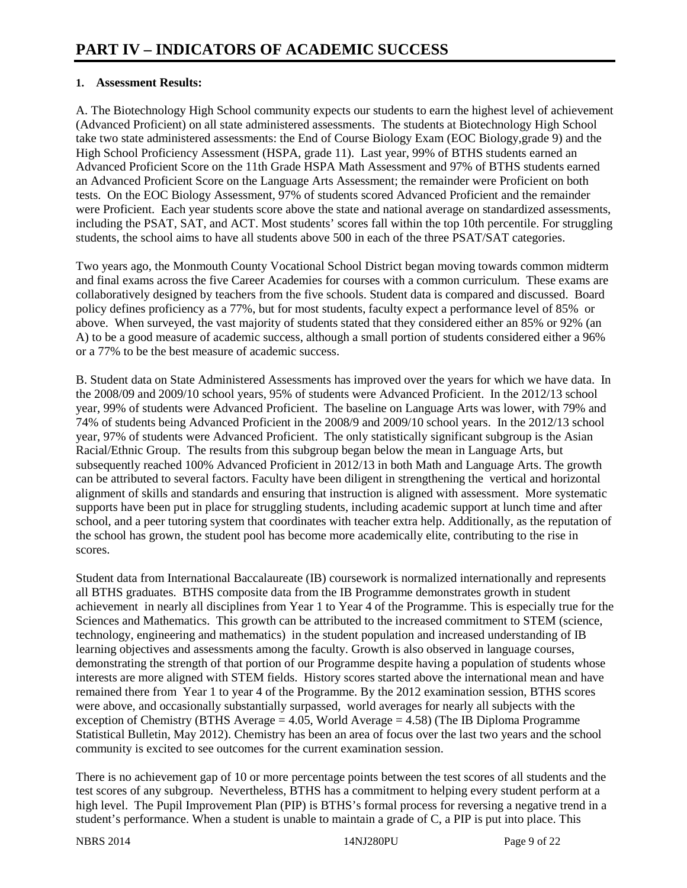#### **1. Assessment Results:**

A. The Biotechnology High School community expects our students to earn the highest level of achievement (Advanced Proficient) on all state administered assessments. The students at Biotechnology High School take two state administered assessments: the End of Course Biology Exam (EOC Biology,grade 9) and the High School Proficiency Assessment (HSPA, grade 11). Last year, 99% of BTHS students earned an Advanced Proficient Score on the 11th Grade HSPA Math Assessment and 97% of BTHS students earned an Advanced Proficient Score on the Language Arts Assessment; the remainder were Proficient on both tests. On the EOC Biology Assessment, 97% of students scored Advanced Proficient and the remainder were Proficient. Each year students score above the state and national average on standardized assessments, including the PSAT, SAT, and ACT. Most students' scores fall within the top 10th percentile. For struggling students, the school aims to have all students above 500 in each of the three PSAT/SAT categories.

Two years ago, the Monmouth County Vocational School District began moving towards common midterm and final exams across the five Career Academies for courses with a common curriculum. These exams are collaboratively designed by teachers from the five schools. Student data is compared and discussed. Board policy defines proficiency as a 77%, but for most students, faculty expect a performance level of 85% or above. When surveyed, the vast majority of students stated that they considered either an 85% or 92% (an A) to be a good measure of academic success, although a small portion of students considered either a 96% or a 77% to be the best measure of academic success.

B. Student data on State Administered Assessments has improved over the years for which we have data. In the 2008/09 and 2009/10 school years, 95% of students were Advanced Proficient. In the 2012/13 school year, 99% of students were Advanced Proficient. The baseline on Language Arts was lower, with 79% and 74% of students being Advanced Proficient in the 2008/9 and 2009/10 school years. In the 2012/13 school year, 97% of students were Advanced Proficient. The only statistically significant subgroup is the Asian Racial/Ethnic Group. The results from this subgroup began below the mean in Language Arts, but subsequently reached 100% Advanced Proficient in 2012/13 in both Math and Language Arts. The growth can be attributed to several factors. Faculty have been diligent in strengthening the vertical and horizontal alignment of skills and standards and ensuring that instruction is aligned with assessment. More systematic supports have been put in place for struggling students, including academic support at lunch time and after school, and a peer tutoring system that coordinates with teacher extra help. Additionally, as the reputation of the school has grown, the student pool has become more academically elite, contributing to the rise in scores.

Student data from International Baccalaureate (IB) coursework is normalized internationally and represents all BTHS graduates. BTHS composite data from the IB Programme demonstrates growth in student achievement in nearly all disciplines from Year 1 to Year 4 of the Programme. This is especially true for the Sciences and Mathematics. This growth can be attributed to the increased commitment to STEM (science, technology, engineering and mathematics) in the student population and increased understanding of IB learning objectives and assessments among the faculty. Growth is also observed in language courses, demonstrating the strength of that portion of our Programme despite having a population of students whose interests are more aligned with STEM fields. History scores started above the international mean and have remained there from Year 1 to year 4 of the Programme. By the 2012 examination session, BTHS scores were above, and occasionally substantially surpassed, world averages for nearly all subjects with the exception of Chemistry (BTHS Average = 4.05, World Average = 4.58) (The IB Diploma Programme Statistical Bulletin, May 2012). Chemistry has been an area of focus over the last two years and the school community is excited to see outcomes for the current examination session.

There is no achievement gap of 10 or more percentage points between the test scores of all students and the test scores of any subgroup. Nevertheless, BTHS has a commitment to helping every student perform at a high level. The Pupil Improvement Plan (PIP) is BTHS's formal process for reversing a negative trend in a student's performance. When a student is unable to maintain a grade of C, a PIP is put into place. This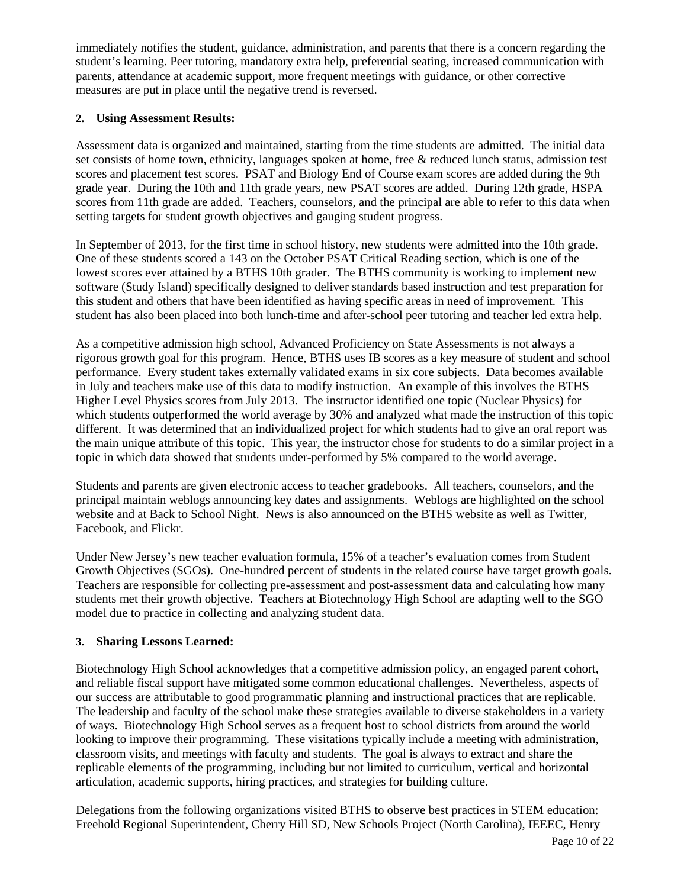immediately notifies the student, guidance, administration, and parents that there is a concern regarding the student's learning. Peer tutoring, mandatory extra help, preferential seating, increased communication with parents, attendance at academic support, more frequent meetings with guidance, or other corrective measures are put in place until the negative trend is reversed.

#### **2. Using Assessment Results:**

Assessment data is organized and maintained, starting from the time students are admitted. The initial data set consists of home town, ethnicity, languages spoken at home, free & reduced lunch status, admission test scores and placement test scores. PSAT and Biology End of Course exam scores are added during the 9th grade year. During the 10th and 11th grade years, new PSAT scores are added. During 12th grade, HSPA scores from 11th grade are added. Teachers, counselors, and the principal are able to refer to this data when setting targets for student growth objectives and gauging student progress.

In September of 2013, for the first time in school history, new students were admitted into the 10th grade. One of these students scored a 143 on the October PSAT Critical Reading section, which is one of the lowest scores ever attained by a BTHS 10th grader. The BTHS community is working to implement new software (Study Island) specifically designed to deliver standards based instruction and test preparation for this student and others that have been identified as having specific areas in need of improvement. This student has also been placed into both lunch-time and after-school peer tutoring and teacher led extra help.

As a competitive admission high school, Advanced Proficiency on State Assessments is not always a rigorous growth goal for this program. Hence, BTHS uses IB scores as a key measure of student and school performance. Every student takes externally validated exams in six core subjects. Data becomes available in July and teachers make use of this data to modify instruction. An example of this involves the BTHS Higher Level Physics scores from July 2013. The instructor identified one topic (Nuclear Physics) for which students outperformed the world average by 30% and analyzed what made the instruction of this topic different. It was determined that an individualized project for which students had to give an oral report was the main unique attribute of this topic. This year, the instructor chose for students to do a similar project in a topic in which data showed that students under-performed by 5% compared to the world average.

Students and parents are given electronic access to teacher gradebooks. All teachers, counselors, and the principal maintain weblogs announcing key dates and assignments. Weblogs are highlighted on the school website and at Back to School Night. News is also announced on the BTHS website as well as Twitter, Facebook, and Flickr.

Under New Jersey's new teacher evaluation formula, 15% of a teacher's evaluation comes from Student Growth Objectives (SGOs). One-hundred percent of students in the related course have target growth goals. Teachers are responsible for collecting pre-assessment and post-assessment data and calculating how many students met their growth objective. Teachers at Biotechnology High School are adapting well to the SGO model due to practice in collecting and analyzing student data.

#### **3. Sharing Lessons Learned:**

Biotechnology High School acknowledges that a competitive admission policy, an engaged parent cohort, and reliable fiscal support have mitigated some common educational challenges. Nevertheless, aspects of our success are attributable to good programmatic planning and instructional practices that are replicable. The leadership and faculty of the school make these strategies available to diverse stakeholders in a variety of ways. Biotechnology High School serves as a frequent host to school districts from around the world looking to improve their programming. These visitations typically include a meeting with administration, classroom visits, and meetings with faculty and students. The goal is always to extract and share the replicable elements of the programming, including but not limited to curriculum, vertical and horizontal articulation, academic supports, hiring practices, and strategies for building culture.

Delegations from the following organizations visited BTHS to observe best practices in STEM education: Freehold Regional Superintendent, Cherry Hill SD, New Schools Project (North Carolina), IEEEC, Henry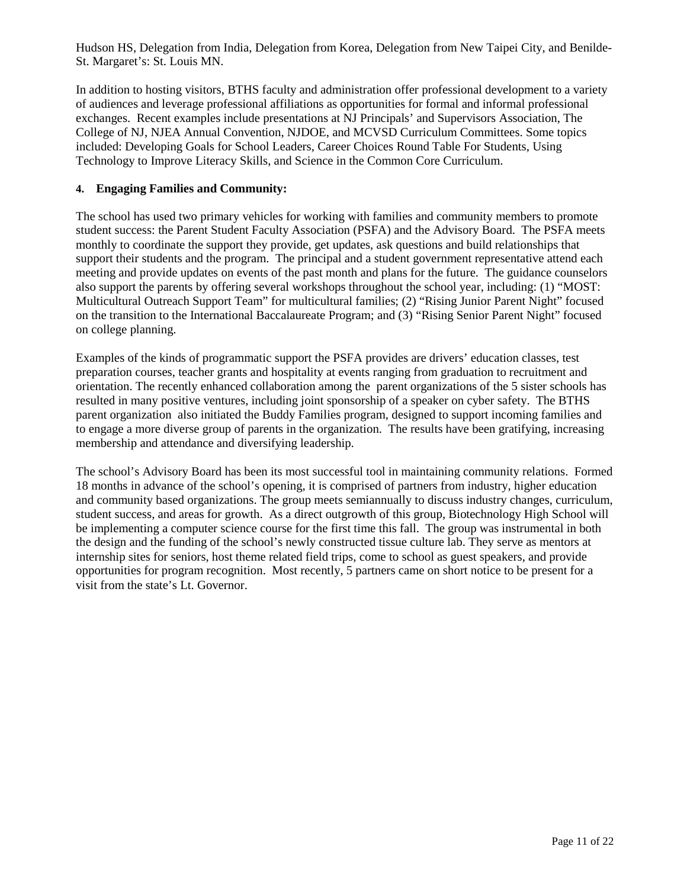Hudson HS, Delegation from India, Delegation from Korea, Delegation from New Taipei City, and Benilde-St. Margaret's: St. Louis MN.

In addition to hosting visitors, BTHS faculty and administration offer professional development to a variety of audiences and leverage professional affiliations as opportunities for formal and informal professional exchanges. Recent examples include presentations at NJ Principals' and Supervisors Association, The College of NJ, NJEA Annual Convention, NJDOE, and MCVSD Curriculum Committees. Some topics included: Developing Goals for School Leaders, Career Choices Round Table For Students, Using Technology to Improve Literacy Skills, and Science in the Common Core Curriculum.

#### **4. Engaging Families and Community:**

The school has used two primary vehicles for working with families and community members to promote student success: the Parent Student Faculty Association (PSFA) and the Advisory Board. The PSFA meets monthly to coordinate the support they provide, get updates, ask questions and build relationships that support their students and the program. The principal and a student government representative attend each meeting and provide updates on events of the past month and plans for the future. The guidance counselors also support the parents by offering several workshops throughout the school year, including: (1) "MOST: Multicultural Outreach Support Team" for multicultural families; (2) "Rising Junior Parent Night" focused on the transition to the International Baccalaureate Program; and (3) "Rising Senior Parent Night" focused on college planning.

Examples of the kinds of programmatic support the PSFA provides are drivers' education classes, test preparation courses, teacher grants and hospitality at events ranging from graduation to recruitment and orientation. The recently enhanced collaboration among the parent organizations of the 5 sister schools has resulted in many positive ventures, including joint sponsorship of a speaker on cyber safety. The BTHS parent organization also initiated the Buddy Families program, designed to support incoming families and to engage a more diverse group of parents in the organization. The results have been gratifying, increasing membership and attendance and diversifying leadership.

The school's Advisory Board has been its most successful tool in maintaining community relations. Formed 18 months in advance of the school's opening, it is comprised of partners from industry, higher education and community based organizations. The group meets semiannually to discuss industry changes, curriculum, student success, and areas for growth. As a direct outgrowth of this group, Biotechnology High School will be implementing a computer science course for the first time this fall. The group was instrumental in both the design and the funding of the school's newly constructed tissue culture lab. They serve as mentors at internship sites for seniors, host theme related field trips, come to school as guest speakers, and provide opportunities for program recognition. Most recently, 5 partners came on short notice to be present for a visit from the state's Lt. Governor.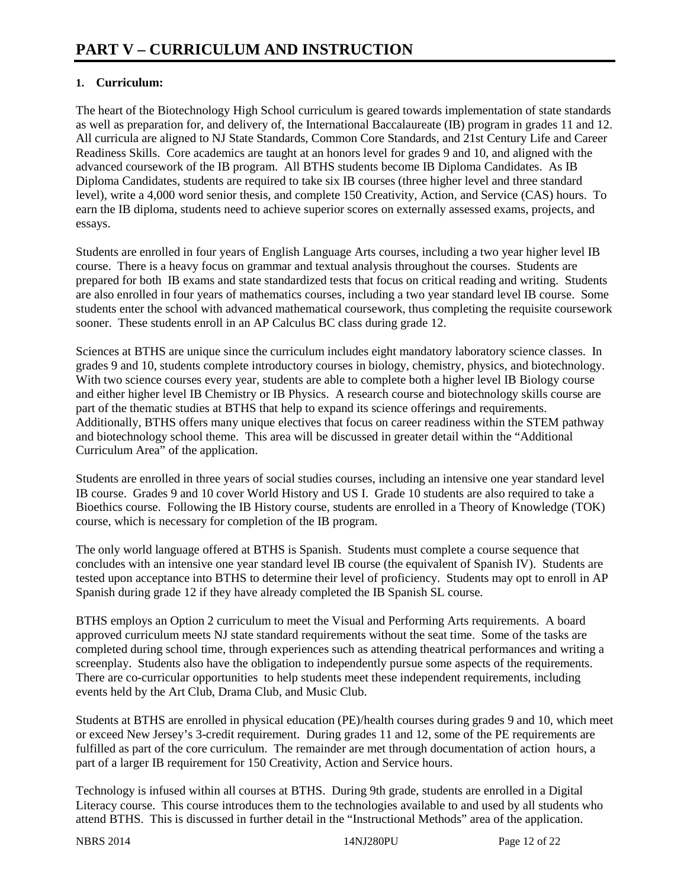#### **1. Curriculum:**

The heart of the Biotechnology High School curriculum is geared towards implementation of state standards as well as preparation for, and delivery of, the International Baccalaureate (IB) program in grades 11 and 12. All curricula are aligned to NJ State Standards, Common Core Standards, and 21st Century Life and Career Readiness Skills. Core academics are taught at an honors level for grades 9 and 10, and aligned with the advanced coursework of the IB program. All BTHS students become IB Diploma Candidates. As IB Diploma Candidates, students are required to take six IB courses (three higher level and three standard level), write a 4,000 word senior thesis, and complete 150 Creativity, Action, and Service (CAS) hours. To earn the IB diploma, students need to achieve superior scores on externally assessed exams, projects, and essays.

Students are enrolled in four years of English Language Arts courses, including a two year higher level IB course. There is a heavy focus on grammar and textual analysis throughout the courses. Students are prepared for both IB exams and state standardized tests that focus on critical reading and writing. Students are also enrolled in four years of mathematics courses, including a two year standard level IB course. Some students enter the school with advanced mathematical coursework, thus completing the requisite coursework sooner. These students enroll in an AP Calculus BC class during grade 12.

Sciences at BTHS are unique since the curriculum includes eight mandatory laboratory science classes. In grades 9 and 10, students complete introductory courses in biology, chemistry, physics, and biotechnology. With two science courses every year, students are able to complete both a higher level IB Biology course and either higher level IB Chemistry or IB Physics. A research course and biotechnology skills course are part of the thematic studies at BTHS that help to expand its science offerings and requirements. Additionally, BTHS offers many unique electives that focus on career readiness within the STEM pathway and biotechnology school theme. This area will be discussed in greater detail within the "Additional Curriculum Area" of the application.

Students are enrolled in three years of social studies courses, including an intensive one year standard level IB course. Grades 9 and 10 cover World History and US I. Grade 10 students are also required to take a Bioethics course. Following the IB History course, students are enrolled in a Theory of Knowledge (TOK) course, which is necessary for completion of the IB program.

The only world language offered at BTHS is Spanish. Students must complete a course sequence that concludes with an intensive one year standard level IB course (the equivalent of Spanish IV). Students are tested upon acceptance into BTHS to determine their level of proficiency. Students may opt to enroll in AP Spanish during grade 12 if they have already completed the IB Spanish SL course.

BTHS employs an Option 2 curriculum to meet the Visual and Performing Arts requirements. A board approved curriculum meets NJ state standard requirements without the seat time. Some of the tasks are completed during school time, through experiences such as attending theatrical performances and writing a screenplay. Students also have the obligation to independently pursue some aspects of the requirements. There are co-curricular opportunities to help students meet these independent requirements, including events held by the Art Club, Drama Club, and Music Club.

Students at BTHS are enrolled in physical education (PE)/health courses during grades 9 and 10, which meet or exceed New Jersey's 3-credit requirement. During grades 11 and 12, some of the PE requirements are fulfilled as part of the core curriculum. The remainder are met through documentation of action hours, a part of a larger IB requirement for 150 Creativity, Action and Service hours.

Technology is infused within all courses at BTHS. During 9th grade, students are enrolled in a Digital Literacy course. This course introduces them to the technologies available to and used by all students who attend BTHS. This is discussed in further detail in the "Instructional Methods" area of the application.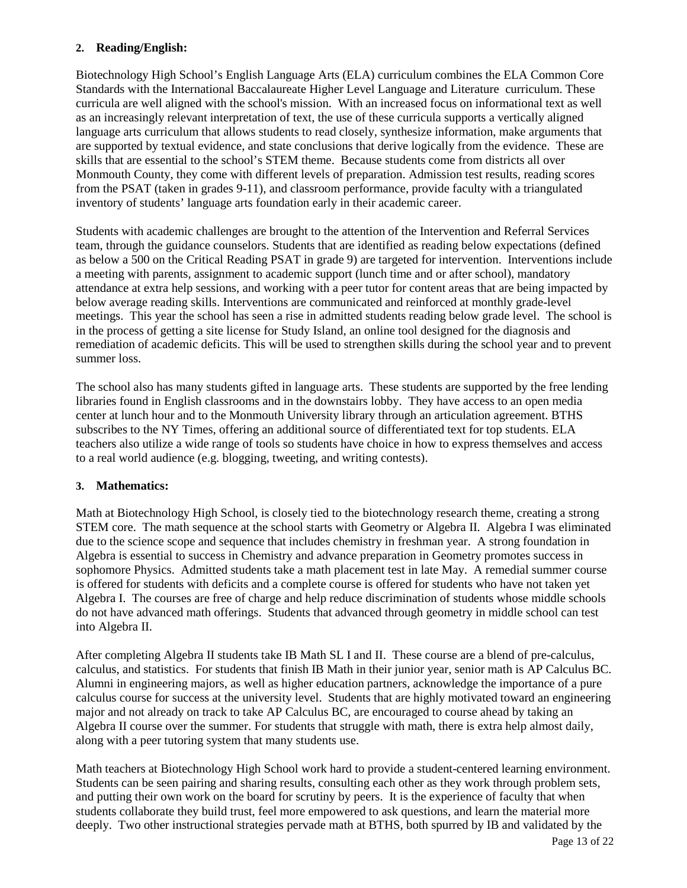#### **2. Reading/English:**

Biotechnology High School's English Language Arts (ELA) curriculum combines the ELA Common Core Standards with the International Baccalaureate Higher Level Language and Literature curriculum. These curricula are well aligned with the school's mission. With an increased focus on informational text as well as an increasingly relevant interpretation of text, the use of these curricula supports a vertically aligned language arts curriculum that allows students to read closely, synthesize information, make arguments that are supported by textual evidence, and state conclusions that derive logically from the evidence. These are skills that are essential to the school's STEM theme. Because students come from districts all over Monmouth County, they come with different levels of preparation. Admission test results, reading scores from the PSAT (taken in grades 9-11), and classroom performance, provide faculty with a triangulated inventory of students' language arts foundation early in their academic career.

Students with academic challenges are brought to the attention of the Intervention and Referral Services team, through the guidance counselors. Students that are identified as reading below expectations (defined as below a 500 on the Critical Reading PSAT in grade 9) are targeted for intervention. Interventions include a meeting with parents, assignment to academic support (lunch time and or after school), mandatory attendance at extra help sessions, and working with a peer tutor for content areas that are being impacted by below average reading skills. Interventions are communicated and reinforced at monthly grade-level meetings. This year the school has seen a rise in admitted students reading below grade level. The school is in the process of getting a site license for Study Island, an online tool designed for the diagnosis and remediation of academic deficits. This will be used to strengthen skills during the school year and to prevent summer loss.

The school also has many students gifted in language arts. These students are supported by the free lending libraries found in English classrooms and in the downstairs lobby. They have access to an open media center at lunch hour and to the Monmouth University library through an articulation agreement. BTHS subscribes to the NY Times, offering an additional source of differentiated text for top students. ELA teachers also utilize a wide range of tools so students have choice in how to express themselves and access to a real world audience (e.g. blogging, tweeting, and writing contests).

#### **3. Mathematics:**

Math at Biotechnology High School, is closely tied to the biotechnology research theme, creating a strong STEM core. The math sequence at the school starts with Geometry or Algebra II. Algebra I was eliminated due to the science scope and sequence that includes chemistry in freshman year. A strong foundation in Algebra is essential to success in Chemistry and advance preparation in Geometry promotes success in sophomore Physics. Admitted students take a math placement test in late May. A remedial summer course is offered for students with deficits and a complete course is offered for students who have not taken yet Algebra I. The courses are free of charge and help reduce discrimination of students whose middle schools do not have advanced math offerings. Students that advanced through geometry in middle school can test into Algebra II.

After completing Algebra II students take IB Math SL I and II. These course are a blend of pre-calculus, calculus, and statistics. For students that finish IB Math in their junior year, senior math is AP Calculus BC. Alumni in engineering majors, as well as higher education partners, acknowledge the importance of a pure calculus course for success at the university level. Students that are highly motivated toward an engineering major and not already on track to take AP Calculus BC, are encouraged to course ahead by taking an Algebra II course over the summer. For students that struggle with math, there is extra help almost daily, along with a peer tutoring system that many students use.

Math teachers at Biotechnology High School work hard to provide a student-centered learning environment. Students can be seen pairing and sharing results, consulting each other as they work through problem sets, and putting their own work on the board for scrutiny by peers. It is the experience of faculty that when students collaborate they build trust, feel more empowered to ask questions, and learn the material more deeply. Two other instructional strategies pervade math at BTHS, both spurred by IB and validated by the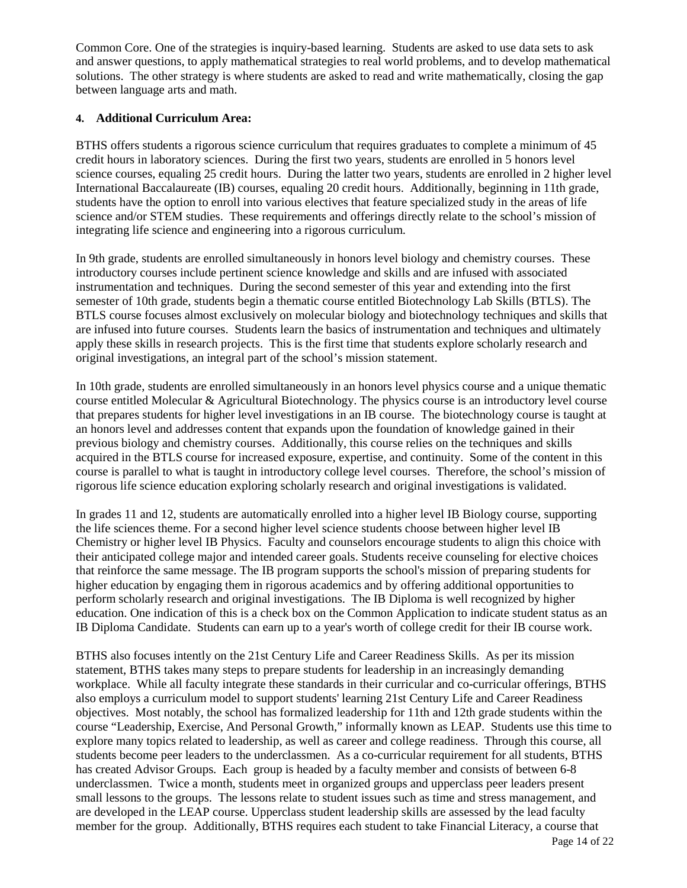Common Core. One of the strategies is inquiry-based learning. Students are asked to use data sets to ask and answer questions, to apply mathematical strategies to real world problems, and to develop mathematical solutions. The other strategy is where students are asked to read and write mathematically, closing the gap between language arts and math.

### **4. Additional Curriculum Area:**

BTHS offers students a rigorous science curriculum that requires graduates to complete a minimum of 45 credit hours in laboratory sciences. During the first two years, students are enrolled in 5 honors level science courses, equaling 25 credit hours. During the latter two years, students are enrolled in 2 higher level International Baccalaureate (IB) courses, equaling 20 credit hours. Additionally, beginning in 11th grade, students have the option to enroll into various electives that feature specialized study in the areas of life science and/or STEM studies. These requirements and offerings directly relate to the school's mission of integrating life science and engineering into a rigorous curriculum.

In 9th grade, students are enrolled simultaneously in honors level biology and chemistry courses. These introductory courses include pertinent science knowledge and skills and are infused with associated instrumentation and techniques. During the second semester of this year and extending into the first semester of 10th grade, students begin a thematic course entitled Biotechnology Lab Skills (BTLS). The BTLS course focuses almost exclusively on molecular biology and biotechnology techniques and skills that are infused into future courses. Students learn the basics of instrumentation and techniques and ultimately apply these skills in research projects. This is the first time that students explore scholarly research and original investigations, an integral part of the school's mission statement.

In 10th grade, students are enrolled simultaneously in an honors level physics course and a unique thematic course entitled Molecular & Agricultural Biotechnology. The physics course is an introductory level course that prepares students for higher level investigations in an IB course. The biotechnology course is taught at an honors level and addresses content that expands upon the foundation of knowledge gained in their previous biology and chemistry courses. Additionally, this course relies on the techniques and skills acquired in the BTLS course for increased exposure, expertise, and continuity. Some of the content in this course is parallel to what is taught in introductory college level courses. Therefore, the school's mission of rigorous life science education exploring scholarly research and original investigations is validated.

In grades 11 and 12, students are automatically enrolled into a higher level IB Biology course, supporting the life sciences theme. For a second higher level science students choose between higher level IB Chemistry or higher level IB Physics. Faculty and counselors encourage students to align this choice with their anticipated college major and intended career goals. Students receive counseling for elective choices that reinforce the same message. The IB program supports the school's mission of preparing students for higher education by engaging them in rigorous academics and by offering additional opportunities to perform scholarly research and original investigations. The IB Diploma is well recognized by higher education. One indication of this is a check box on the Common Application to indicate student status as an IB Diploma Candidate. Students can earn up to a year's worth of college credit for their IB course work.

BTHS also focuses intently on the 21st Century Life and Career Readiness Skills. As per its mission statement, BTHS takes many steps to prepare students for leadership in an increasingly demanding workplace. While all faculty integrate these standards in their curricular and co-curricular offerings, BTHS also employs a curriculum model to support students' learning 21st Century Life and Career Readiness objectives. Most notably, the school has formalized leadership for 11th and 12th grade students within the course "Leadership, Exercise, And Personal Growth," informally known as LEAP. Students use this time to explore many topics related to leadership, as well as career and college readiness. Through this course, all students become peer leaders to the underclassmen. As a co-curricular requirement for all students, BTHS has created Advisor Groups. Each group is headed by a faculty member and consists of between 6-8 underclassmen. Twice a month, students meet in organized groups and upperclass peer leaders present small lessons to the groups. The lessons relate to student issues such as time and stress management, and are developed in the LEAP course. Upperclass student leadership skills are assessed by the lead faculty member for the group. Additionally, BTHS requires each student to take Financial Literacy, a course that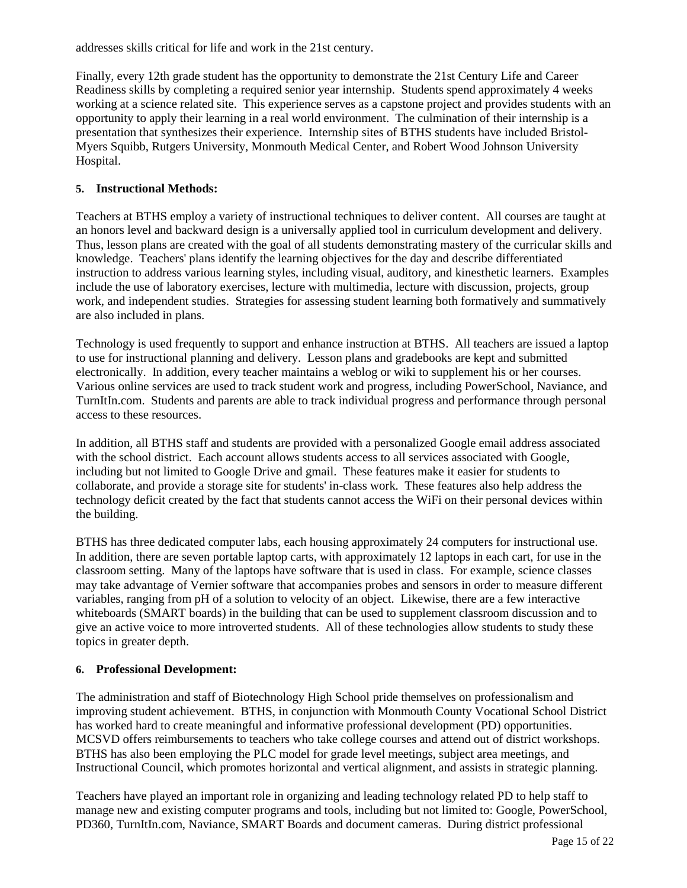addresses skills critical for life and work in the 21st century.

Finally, every 12th grade student has the opportunity to demonstrate the 21st Century Life and Career Readiness skills by completing a required senior year internship. Students spend approximately 4 weeks working at a science related site. This experience serves as a capstone project and provides students with an opportunity to apply their learning in a real world environment. The culmination of their internship is a presentation that synthesizes their experience. Internship sites of BTHS students have included Bristol-Myers Squibb, Rutgers University, Monmouth Medical Center, and Robert Wood Johnson University Hospital.

#### **5. Instructional Methods:**

Teachers at BTHS employ a variety of instructional techniques to deliver content. All courses are taught at an honors level and backward design is a universally applied tool in curriculum development and delivery. Thus, lesson plans are created with the goal of all students demonstrating mastery of the curricular skills and knowledge. Teachers' plans identify the learning objectives for the day and describe differentiated instruction to address various learning styles, including visual, auditory, and kinesthetic learners. Examples include the use of laboratory exercises, lecture with multimedia, lecture with discussion, projects, group work, and independent studies. Strategies for assessing student learning both formatively and summatively are also included in plans.

Technology is used frequently to support and enhance instruction at BTHS. All teachers are issued a laptop to use for instructional planning and delivery. Lesson plans and gradebooks are kept and submitted electronically. In addition, every teacher maintains a weblog or wiki to supplement his or her courses. Various online services are used to track student work and progress, including PowerSchool, Naviance, and TurnItIn.com. Students and parents are able to track individual progress and performance through personal access to these resources.

In addition, all BTHS staff and students are provided with a personalized Google email address associated with the school district. Each account allows students access to all services associated with Google, including but not limited to Google Drive and gmail. These features make it easier for students to collaborate, and provide a storage site for students' in-class work. These features also help address the technology deficit created by the fact that students cannot access the WiFi on their personal devices within the building.

BTHS has three dedicated computer labs, each housing approximately 24 computers for instructional use. In addition, there are seven portable laptop carts, with approximately 12 laptops in each cart, for use in the classroom setting. Many of the laptops have software that is used in class. For example, science classes may take advantage of Vernier software that accompanies probes and sensors in order to measure different variables, ranging from pH of a solution to velocity of an object. Likewise, there are a few interactive whiteboards (SMART boards) in the building that can be used to supplement classroom discussion and to give an active voice to more introverted students. All of these technologies allow students to study these topics in greater depth.

#### **6. Professional Development:**

The administration and staff of Biotechnology High School pride themselves on professionalism and improving student achievement. BTHS, in conjunction with Monmouth County Vocational School District has worked hard to create meaningful and informative professional development (PD) opportunities. MCSVD offers reimbursements to teachers who take college courses and attend out of district workshops. BTHS has also been employing the PLC model for grade level meetings, subject area meetings, and Instructional Council, which promotes horizontal and vertical alignment, and assists in strategic planning.

Teachers have played an important role in organizing and leading technology related PD to help staff to manage new and existing computer programs and tools, including but not limited to: Google, PowerSchool, PD360, TurnItIn.com, Naviance, SMART Boards and document cameras. During district professional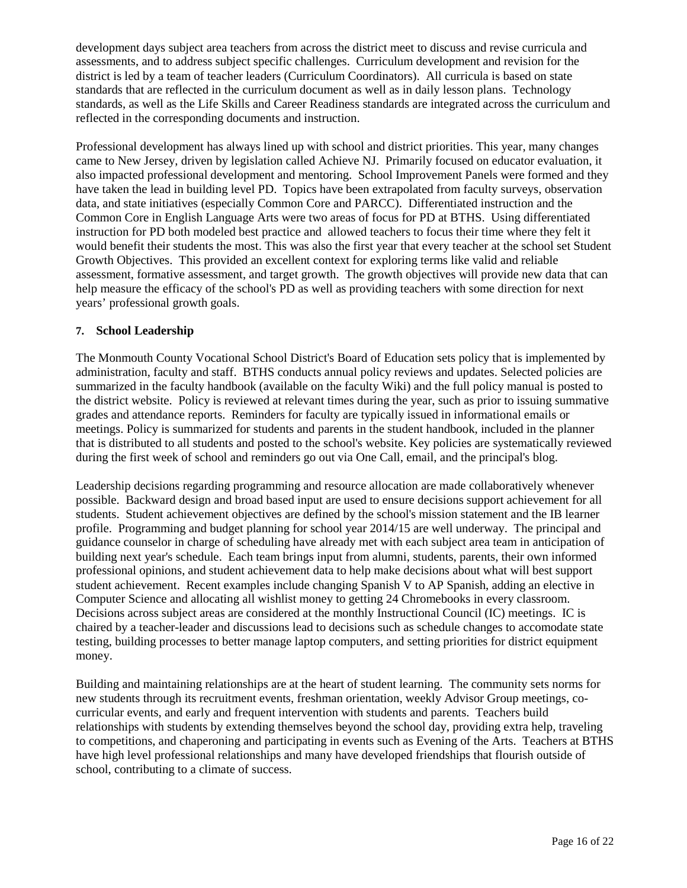development days subject area teachers from across the district meet to discuss and revise curricula and assessments, and to address subject specific challenges. Curriculum development and revision for the district is led by a team of teacher leaders (Curriculum Coordinators). All curricula is based on state standards that are reflected in the curriculum document as well as in daily lesson plans. Technology standards, as well as the Life Skills and Career Readiness standards are integrated across the curriculum and reflected in the corresponding documents and instruction.

Professional development has always lined up with school and district priorities. This year, many changes came to New Jersey, driven by legislation called Achieve NJ. Primarily focused on educator evaluation, it also impacted professional development and mentoring. School Improvement Panels were formed and they have taken the lead in building level PD. Topics have been extrapolated from faculty surveys, observation data, and state initiatives (especially Common Core and PARCC). Differentiated instruction and the Common Core in English Language Arts were two areas of focus for PD at BTHS. Using differentiated instruction for PD both modeled best practice and allowed teachers to focus their time where they felt it would benefit their students the most. This was also the first year that every teacher at the school set Student Growth Objectives. This provided an excellent context for exploring terms like valid and reliable assessment, formative assessment, and target growth. The growth objectives will provide new data that can help measure the efficacy of the school's PD as well as providing teachers with some direction for next years' professional growth goals.

#### **7. School Leadership**

The Monmouth County Vocational School District's Board of Education sets policy that is implemented by administration, faculty and staff. BTHS conducts annual policy reviews and updates. Selected policies are summarized in the faculty handbook (available on the faculty Wiki) and the full policy manual is posted to the district website. Policy is reviewed at relevant times during the year, such as prior to issuing summative grades and attendance reports. Reminders for faculty are typically issued in informational emails or meetings. Policy is summarized for students and parents in the student handbook, included in the planner that is distributed to all students and posted to the school's website. Key policies are systematically reviewed during the first week of school and reminders go out via One Call, email, and the principal's blog.

Leadership decisions regarding programming and resource allocation are made collaboratively whenever possible. Backward design and broad based input are used to ensure decisions support achievement for all students. Student achievement objectives are defined by the school's mission statement and the IB learner profile. Programming and budget planning for school year 2014/15 are well underway. The principal and guidance counselor in charge of scheduling have already met with each subject area team in anticipation of building next year's schedule. Each team brings input from alumni, students, parents, their own informed professional opinions, and student achievement data to help make decisions about what will best support student achievement. Recent examples include changing Spanish V to AP Spanish, adding an elective in Computer Science and allocating all wishlist money to getting 24 Chromebooks in every classroom. Decisions across subject areas are considered at the monthly Instructional Council (IC) meetings. IC is chaired by a teacher-leader and discussions lead to decisions such as schedule changes to accomodate state testing, building processes to better manage laptop computers, and setting priorities for district equipment money.

Building and maintaining relationships are at the heart of student learning. The community sets norms for new students through its recruitment events, freshman orientation, weekly Advisor Group meetings, cocurricular events, and early and frequent intervention with students and parents. Teachers build relationships with students by extending themselves beyond the school day, providing extra help, traveling to competitions, and chaperoning and participating in events such as Evening of the Arts. Teachers at BTHS have high level professional relationships and many have developed friendships that flourish outside of school, contributing to a climate of success.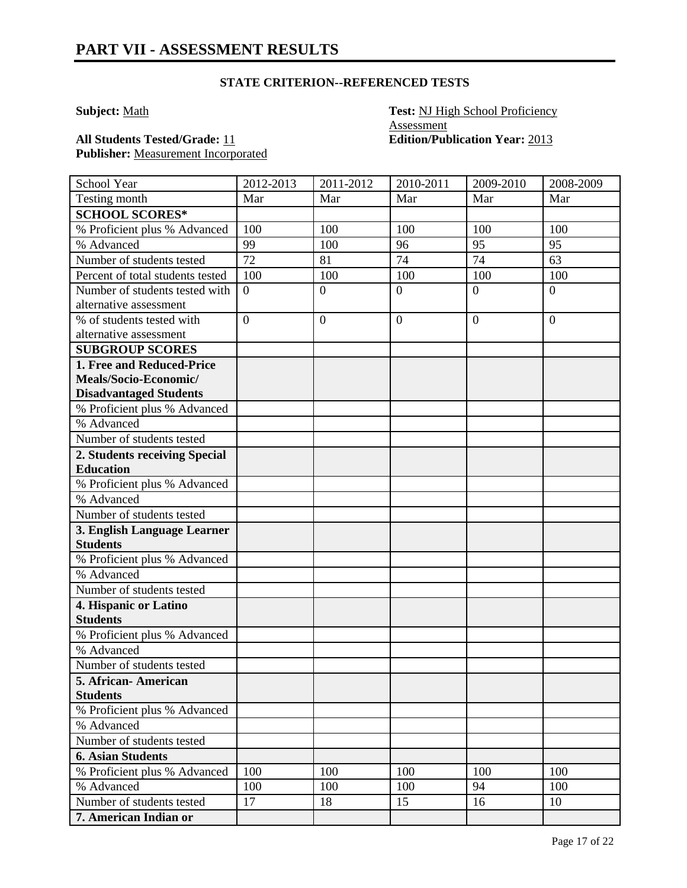### **STATE CRITERION--REFERENCED TESTS**

**Subject:** Math **Test: NJ High School Proficiency Assessment All Students Tested/Grade:** 11 **Edition/Publication Year:** 2013

**Publisher:** Measurement Incorporated

| School Year                      | 2012-2013       | 2011-2012      | 2010-2011        | 2009-2010      | 2008-2009      |
|----------------------------------|-----------------|----------------|------------------|----------------|----------------|
| Testing month                    | Mar             | Mar            | Mar              | Mar            | Mar            |
| <b>SCHOOL SCORES*</b>            |                 |                |                  |                |                |
| % Proficient plus % Advanced     | 100             | 100            | 100              | 100            | 100            |
| % Advanced                       | 99              | 100            | 96               | 95             | 95             |
| Number of students tested        | $\overline{72}$ | 81             | 74               | 74             | 63             |
| Percent of total students tested | 100             | 100            | 100              | 100            | 100            |
| Number of students tested with   | $\overline{0}$  | $\overline{0}$ | $\overline{0}$   | $\overline{0}$ | $\overline{0}$ |
| alternative assessment           |                 |                |                  |                |                |
| % of students tested with        | $\overline{0}$  | $\mathbf{0}$   | $\boldsymbol{0}$ | $\overline{0}$ | $\overline{0}$ |
| alternative assessment           |                 |                |                  |                |                |
| <b>SUBGROUP SCORES</b>           |                 |                |                  |                |                |
| 1. Free and Reduced-Price        |                 |                |                  |                |                |
| Meals/Socio-Economic/            |                 |                |                  |                |                |
| <b>Disadvantaged Students</b>    |                 |                |                  |                |                |
| % Proficient plus % Advanced     |                 |                |                  |                |                |
| % Advanced                       |                 |                |                  |                |                |
| Number of students tested        |                 |                |                  |                |                |
| 2. Students receiving Special    |                 |                |                  |                |                |
| <b>Education</b>                 |                 |                |                  |                |                |
| % Proficient plus % Advanced     |                 |                |                  |                |                |
| % Advanced                       |                 |                |                  |                |                |
| Number of students tested        |                 |                |                  |                |                |
| 3. English Language Learner      |                 |                |                  |                |                |
| <b>Students</b>                  |                 |                |                  |                |                |
| % Proficient plus % Advanced     |                 |                |                  |                |                |
| % Advanced                       |                 |                |                  |                |                |
| Number of students tested        |                 |                |                  |                |                |
| 4. Hispanic or Latino            |                 |                |                  |                |                |
| <b>Students</b>                  |                 |                |                  |                |                |
| % Proficient plus % Advanced     |                 |                |                  |                |                |
| % Advanced                       |                 |                |                  |                |                |
| Number of students tested        |                 |                |                  |                |                |
| 5. African- American             |                 |                |                  |                |                |
| <b>Students</b>                  |                 |                |                  |                |                |
| % Proficient plus % Advanced     |                 |                |                  |                |                |
| % Advanced                       |                 |                |                  |                |                |
| Number of students tested        |                 |                |                  |                |                |
| <b>6. Asian Students</b>         |                 |                |                  |                |                |
| % Proficient plus % Advanced     | 100             | 100            | 100              | 100            | 100            |
| % Advanced                       | 100             | 100            | 100              | 94             | 100            |
| Number of students tested        | 17              | 18             | 15               | 16             | 10             |
| 7. American Indian or            |                 |                |                  |                |                |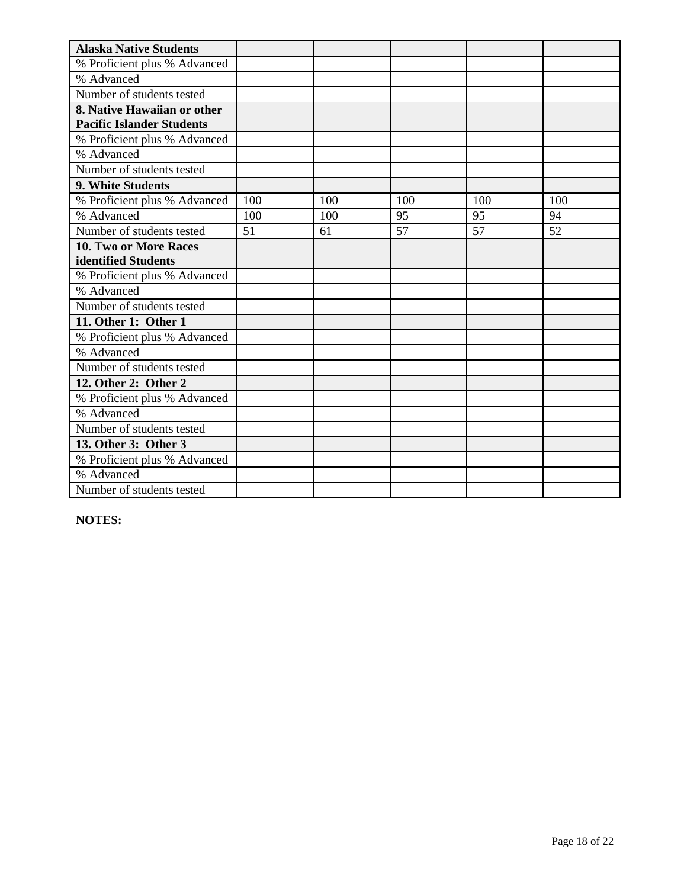| <b>Alaska Native Students</b>    |     |     |     |     |     |
|----------------------------------|-----|-----|-----|-----|-----|
| % Proficient plus % Advanced     |     |     |     |     |     |
| % Advanced                       |     |     |     |     |     |
| Number of students tested        |     |     |     |     |     |
| 8. Native Hawaiian or other      |     |     |     |     |     |
| <b>Pacific Islander Students</b> |     |     |     |     |     |
| % Proficient plus % Advanced     |     |     |     |     |     |
| % Advanced                       |     |     |     |     |     |
| Number of students tested        |     |     |     |     |     |
| 9. White Students                |     |     |     |     |     |
| % Proficient plus % Advanced     | 100 | 100 | 100 | 100 | 100 |
| % Advanced                       | 100 | 100 | 95  | 95  | 94  |
| Number of students tested        | 51  | 61  | 57  | 57  | 52  |
| 10. Two or More Races            |     |     |     |     |     |
| identified Students              |     |     |     |     |     |
| % Proficient plus % Advanced     |     |     |     |     |     |
| % Advanced                       |     |     |     |     |     |
| Number of students tested        |     |     |     |     |     |
| 11. Other 1: Other 1             |     |     |     |     |     |
| % Proficient plus % Advanced     |     |     |     |     |     |
| % Advanced                       |     |     |     |     |     |
| Number of students tested        |     |     |     |     |     |
| 12. Other 2: Other 2             |     |     |     |     |     |
| % Proficient plus % Advanced     |     |     |     |     |     |
| % Advanced                       |     |     |     |     |     |
| Number of students tested        |     |     |     |     |     |
| 13. Other 3: Other 3             |     |     |     |     |     |
| % Proficient plus % Advanced     |     |     |     |     |     |
| % Advanced                       |     |     |     |     |     |
| Number of students tested        |     |     |     |     |     |

**NOTES:**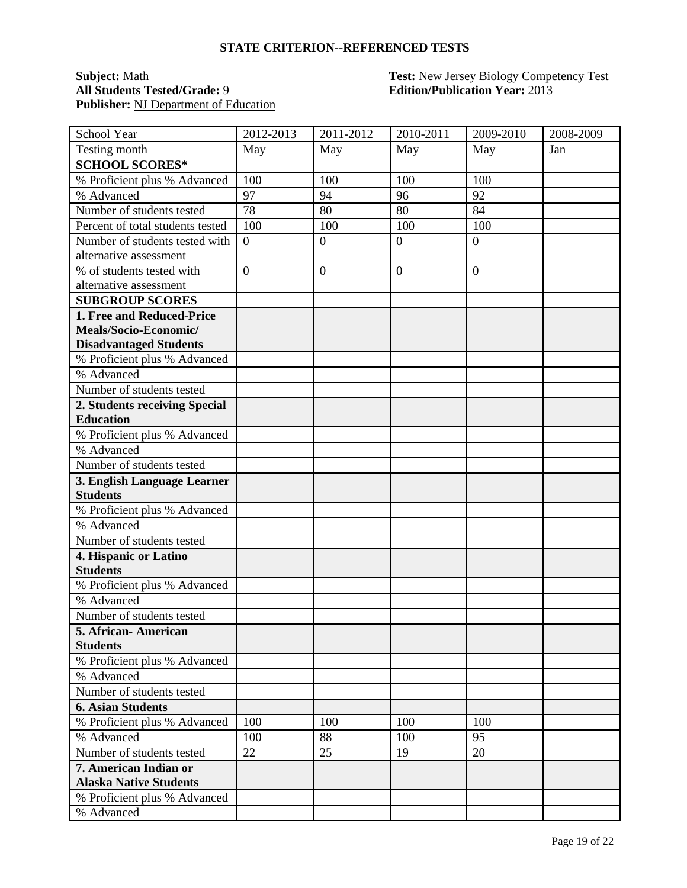#### **STATE CRITERION--REFERENCED TESTS**

## **All Students Tested/Grade:** 9 **Edition/Publication Year:** 2013 **Publisher:** NJ Department of Education

# **Subject:** <u>Math</u> **Test: Test: New Jersey Biology Competency Test**

| <b>School Year</b>               | 2012-2013        | 2011-2012      | 2010-2011        | 2009-2010      | 2008-2009 |
|----------------------------------|------------------|----------------|------------------|----------------|-----------|
| Testing month                    | May              | May            | May              | May            | Jan       |
| <b>SCHOOL SCORES*</b>            |                  |                |                  |                |           |
| % Proficient plus % Advanced     | 100              | 100            | 100              | 100            |           |
| % Advanced                       | 97               | 94             | 96               | 92             |           |
| Number of students tested        | 78               | 80             | 80               | 84             |           |
| Percent of total students tested | 100              | 100            | 100              | 100            |           |
| Number of students tested with   | $\boldsymbol{0}$ | $\overline{0}$ | $\boldsymbol{0}$ | $\overline{0}$ |           |
| alternative assessment           |                  |                |                  |                |           |
| % of students tested with        | $\overline{0}$   | $\overline{0}$ | $\overline{0}$   | $\overline{0}$ |           |
| alternative assessment           |                  |                |                  |                |           |
| <b>SUBGROUP SCORES</b>           |                  |                |                  |                |           |
| 1. Free and Reduced-Price        |                  |                |                  |                |           |
| Meals/Socio-Economic/            |                  |                |                  |                |           |
| <b>Disadvantaged Students</b>    |                  |                |                  |                |           |
| % Proficient plus % Advanced     |                  |                |                  |                |           |
| $\overline{\%}$ Advanced         |                  |                |                  |                |           |
| Number of students tested        |                  |                |                  |                |           |
| 2. Students receiving Special    |                  |                |                  |                |           |
| <b>Education</b>                 |                  |                |                  |                |           |
| % Proficient plus % Advanced     |                  |                |                  |                |           |
| % Advanced                       |                  |                |                  |                |           |
| Number of students tested        |                  |                |                  |                |           |
| 3. English Language Learner      |                  |                |                  |                |           |
| <b>Students</b>                  |                  |                |                  |                |           |
| % Proficient plus % Advanced     |                  |                |                  |                |           |
| % Advanced                       |                  |                |                  |                |           |
| Number of students tested        |                  |                |                  |                |           |
| 4. Hispanic or Latino            |                  |                |                  |                |           |
| <b>Students</b>                  |                  |                |                  |                |           |
| % Proficient plus % Advanced     |                  |                |                  |                |           |
| % Advanced                       |                  |                |                  |                |           |
| Number of students tested        |                  |                |                  |                |           |
| 5. African- American             |                  |                |                  |                |           |
| <b>Students</b>                  |                  |                |                  |                |           |
| % Proficient plus % Advanced     |                  |                |                  |                |           |
| % Advanced                       |                  |                |                  |                |           |
| Number of students tested        |                  |                |                  |                |           |
| <b>6. Asian Students</b>         |                  |                |                  |                |           |
| % Proficient plus % Advanced     | 100              | 100            | 100              | 100            |           |
| % Advanced                       | 100              | 88             | 100              | 95             |           |
| Number of students tested        | 22               | 25             | 19               | 20             |           |
| 7. American Indian or            |                  |                |                  |                |           |
| <b>Alaska Native Students</b>    |                  |                |                  |                |           |
| % Proficient plus % Advanced     |                  |                |                  |                |           |
| % Advanced                       |                  |                |                  |                |           |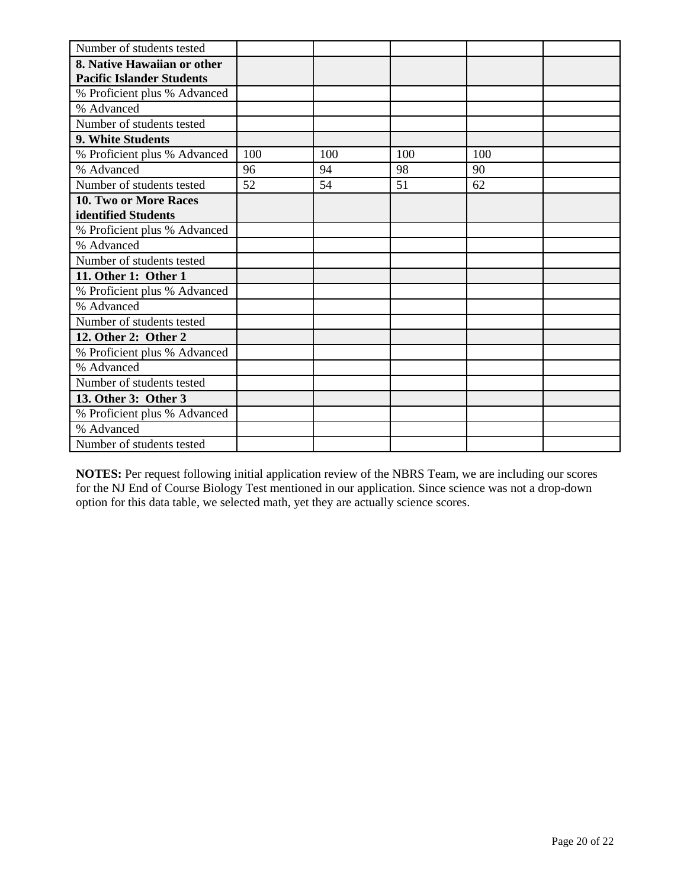| Number of students tested        |     |     |     |     |  |
|----------------------------------|-----|-----|-----|-----|--|
| 8. Native Hawaiian or other      |     |     |     |     |  |
| <b>Pacific Islander Students</b> |     |     |     |     |  |
| % Proficient plus % Advanced     |     |     |     |     |  |
| % Advanced                       |     |     |     |     |  |
| Number of students tested        |     |     |     |     |  |
| 9. White Students                |     |     |     |     |  |
| % Proficient plus % Advanced     | 100 | 100 | 100 | 100 |  |
| % Advanced                       | 96  | 94  | 98  | 90  |  |
| Number of students tested        | 52  | 54  | 51  | 62  |  |
| <b>10. Two or More Races</b>     |     |     |     |     |  |
| identified Students              |     |     |     |     |  |
| % Proficient plus % Advanced     |     |     |     |     |  |
| % Advanced                       |     |     |     |     |  |
| Number of students tested        |     |     |     |     |  |
| 11. Other 1: Other 1             |     |     |     |     |  |
| % Proficient plus % Advanced     |     |     |     |     |  |
| % Advanced                       |     |     |     |     |  |
| Number of students tested        |     |     |     |     |  |
| 12. Other 2: Other 2             |     |     |     |     |  |
| % Proficient plus % Advanced     |     |     |     |     |  |
| % Advanced                       |     |     |     |     |  |
| Number of students tested        |     |     |     |     |  |
| 13. Other 3: Other 3             |     |     |     |     |  |
| % Proficient plus % Advanced     |     |     |     |     |  |
| % Advanced                       |     |     |     |     |  |
| Number of students tested        |     |     |     |     |  |

**NOTES:** Per request following initial application review of the NBRS Team, we are including our scores for the NJ End of Course Biology Test mentioned in our application. Since science was not a drop-down option for this data table, we selected math, yet they are actually science scores.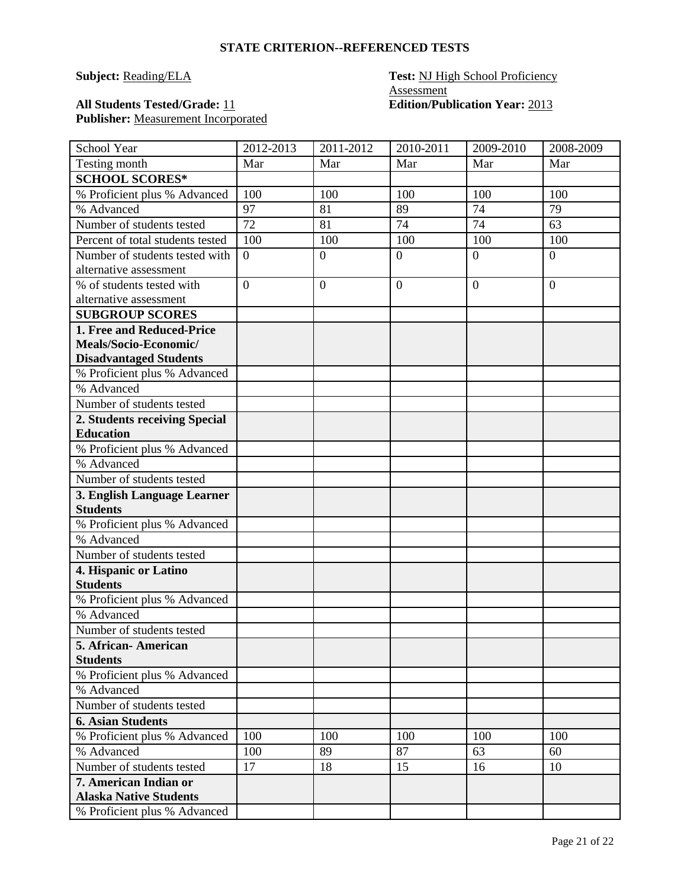#### **STATE CRITERION--REFERENCED TESTS**

#### **Subject: Reading/ELA Test: NJ** High School Proficiency **Assessment All Students Tested/Grade:** 11 **Edition/Publication Year:** 2013

# Publisher: Measurement Incorporated

| School Year                                    | 2012-2013        | $2011 - 2012$  | 2010-2011        | 2009-2010      | 2008-2009      |
|------------------------------------------------|------------------|----------------|------------------|----------------|----------------|
| Testing month                                  | Mar              | Mar            | Mar              | Mar            | Mar            |
| <b>SCHOOL SCORES*</b>                          |                  |                |                  |                |                |
| % Proficient plus % Advanced                   | 100              | 100            | 100              | 100            | 100            |
| % Advanced                                     | 97               | 81             | 89               | 74             | 79             |
| Number of students tested                      | 72               | 81             | 74               | 74             | 63             |
| Percent of total students tested               | 100              | 100            | 100              | 100            | 100            |
| Number of students tested with                 | $\boldsymbol{0}$ | $\overline{0}$ | $\overline{0}$   | $\overline{0}$ | $\overline{0}$ |
| alternative assessment                         |                  |                |                  |                |                |
| % of students tested with                      | $\overline{0}$   | $\overline{0}$ | $\boldsymbol{0}$ | $\overline{0}$ | $\overline{0}$ |
| alternative assessment                         |                  |                |                  |                |                |
| <b>SUBGROUP SCORES</b>                         |                  |                |                  |                |                |
| 1. Free and Reduced-Price                      |                  |                |                  |                |                |
| Meals/Socio-Economic/                          |                  |                |                  |                |                |
| <b>Disadvantaged Students</b>                  |                  |                |                  |                |                |
| % Proficient plus % Advanced                   |                  |                |                  |                |                |
| % Advanced                                     |                  |                |                  |                |                |
| Number of students tested                      |                  |                |                  |                |                |
| 2. Students receiving Special                  |                  |                |                  |                |                |
| <b>Education</b>                               |                  |                |                  |                |                |
| % Proficient plus % Advanced                   |                  |                |                  |                |                |
| % Advanced                                     |                  |                |                  |                |                |
| Number of students tested                      |                  |                |                  |                |                |
| 3. English Language Learner<br><b>Students</b> |                  |                |                  |                |                |
|                                                |                  |                |                  |                |                |
| % Proficient plus % Advanced<br>% Advanced     |                  |                |                  |                |                |
| Number of students tested                      |                  |                |                  |                |                |
|                                                |                  |                |                  |                |                |
| 4. Hispanic or Latino<br><b>Students</b>       |                  |                |                  |                |                |
| % Proficient plus % Advanced                   |                  |                |                  |                |                |
| % Advanced                                     |                  |                |                  |                |                |
| Number of students tested                      |                  |                |                  |                |                |
| 5. African-American                            |                  |                |                  |                |                |
| <b>Students</b>                                |                  |                |                  |                |                |
| % Proficient plus % Advanced                   |                  |                |                  |                |                |
| % Advanced                                     |                  |                |                  |                |                |
| Number of students tested                      |                  |                |                  |                |                |
| <b>6. Asian Students</b>                       |                  |                |                  |                |                |
| % Proficient plus % Advanced                   | 100              | 100            | 100              | 100            | 100            |
| % Advanced                                     | 100              | 89             | 87               | 63             | 60             |
| Number of students tested                      | 17               | 18             | 15               | 16             | 10             |
| 7. American Indian or                          |                  |                |                  |                |                |
| <b>Alaska Native Students</b>                  |                  |                |                  |                |                |
| % Proficient plus % Advanced                   |                  |                |                  |                |                |